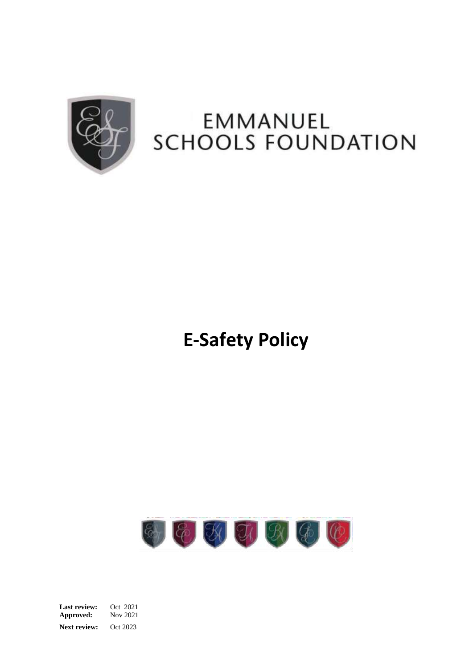

## EMMANUEL **SCHOOLS FOUNDATION**

# **E-Safety Policy**



**Last review:** Oct 2021 **Approved:** Nov 2021 **Next review:** Oct 2023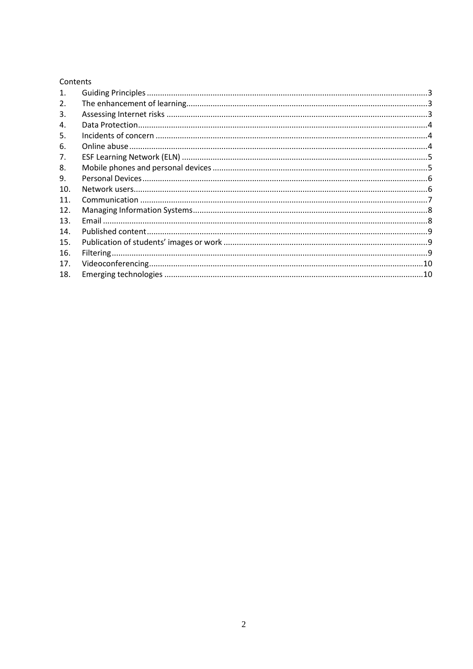## Contents

| $\mathbf{1}$ . |  |
|----------------|--|
| 2.             |  |
| 3.             |  |
| 4.             |  |
| 5.             |  |
| 6.             |  |
| 7.             |  |
| 8.             |  |
| 9.             |  |
| 10.            |  |
| 11.            |  |
| 12.            |  |
| 13.            |  |
| 14.            |  |
| 15.            |  |
| 16.            |  |
| 17.            |  |
| 18.            |  |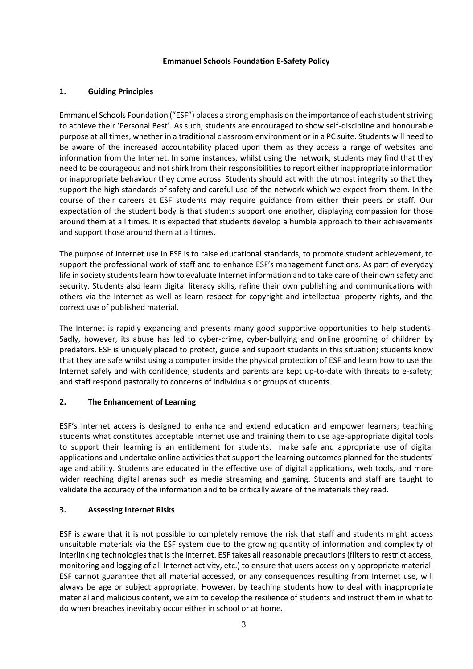#### **Emmanuel Schools Foundation E-Safety Policy**

## <span id="page-2-0"></span>**1. Guiding Principles**

Emmanuel Schools Foundation ("ESF") places a strong emphasis on the importance of each student striving to achieve their 'Personal Best'. As such, students are encouraged to show self-discipline and honourable purpose at all times, whether in a traditional classroom environment or in a PC suite. Students will need to be aware of the increased accountability placed upon them as they access a range of websites and information from the Internet. In some instances, whilst using the network, students may find that they need to be courageous and not shirk from their responsibilities to report either inappropriate information or inappropriate behaviour they come across. Students should act with the utmost integrity so that they support the high standards of safety and careful use of the network which we expect from them. In the course of their careers at ESF students may require guidance from either their peers or staff. Our expectation of the student body is that students support one another, displaying compassion for those around them at all times. It is expected that students develop a humble approach to their achievements and support those around them at all times.

The purpose of Internet use in ESF is to raise educational standards, to promote student achievement, to support the professional work of staff and to enhance ESF's management functions. As part of everyday life in society students learn how to evaluate Internet information and to take care of their own safety and security. Students also learn digital literacy skills, refine their own publishing and communications with others via the Internet as well as learn respect for copyright and intellectual property rights, and the correct use of published material.

The Internet is rapidly expanding and presents many good supportive opportunities to help students. Sadly, however, its abuse has led to cyber-crime, cyber-bullying and online grooming of children by predators. ESF is uniquely placed to protect, guide and support students in this situation; students know that they are safe whilst using a computer inside the physical protection of ESF and learn how to use the Internet safely and with confidence; students and parents are kept up-to-date with threats to e-safety; and staff respond pastorally to concerns of individuals or groups of students.

## <span id="page-2-1"></span>**2. The Enhancement of Learning**

ESF's Internet access is designed to enhance and extend education and empower learners; teaching students what constitutes acceptable Internet use and training them to use age-appropriate digital tools to support their learning is an entitlement for students. make safe and appropriate use of digital applications and undertake online activities that support the learning outcomes planned for the students' age and ability. Students are educated in the effective use of digital applications, web tools, and more wider reaching digital arenas such as media streaming and gaming. Students and staff are taught to validate the accuracy of the information and to be critically aware of the materials they read.

## <span id="page-2-2"></span>**3. Assessing Internet Risks**

ESF is aware that it is not possible to completely remove the risk that staff and students might access unsuitable materials via the ESF system due to the growing quantity of information and complexity of interlinking technologies that is the internet. ESF takes all reasonable precautions (filters to restrict access, monitoring and logging of all Internet activity, etc.) to ensure that users access only appropriate material. ESF cannot guarantee that all material accessed, or any consequences resulting from Internet use, will always be age or subject appropriate. However, by teaching students how to deal with inappropriate material and malicious content, we aim to develop the resilience of students and instruct them in what to do when breaches inevitably occur either in school or at home.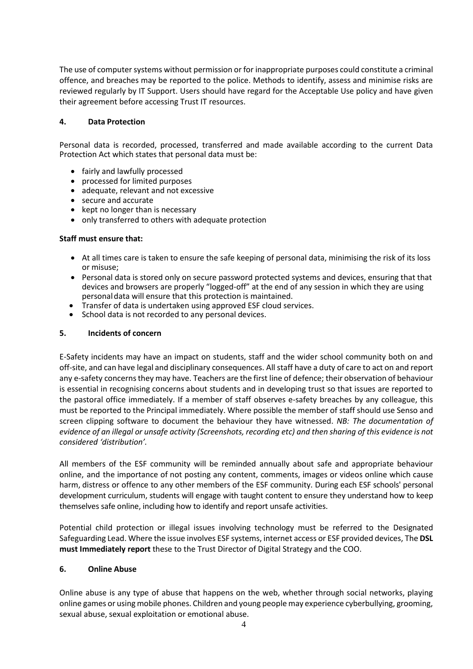The use of computer systems without permission or for inappropriate purposes could constitute a criminal offence, and breaches may be reported to the police. Methods to identify, assess and minimise risks are reviewed regularly by IT Support. Users should have regard for the Acceptable Use policy and have given their agreement before accessing Trust IT resources.

#### <span id="page-3-0"></span>**4. Data Protection**

Personal data is recorded, processed, transferred and made available according to the current Data Protection Act which states that personal data must be:

- fairly and lawfully processed
- processed for limited purposes
- adequate, relevant and not excessive
- secure and accurate
- kept no longer than is necessary
- only transferred to others with adequate protection

## **Staff must ensure that:**

- At all times care is taken to ensure the safe keeping of personal data, minimising the risk of its loss or misuse;
- Personal data is stored only on secure password protected systems and devices, ensuring that that devices and browsers are properly "logged-off" at the end of any session in which they are using personaldata will ensure that this protection is maintained.
- Transfer of data is undertaken using approved ESF cloud services.
- School data is not recorded to any personal devices.

#### <span id="page-3-1"></span>**5. Incidents of concern**

E-Safety incidents may have an impact on students, staff and the wider school community both on and off-site, and can have legal and disciplinary consequences. Allstaff have a duty of care to act on and report any e-safety concerns they may have. Teachers are the first line of defence; their observation of behaviour is essential in recognising concerns about students and in developing trust so that issues are reported to the pastoral office immediately. If a member of staff observes e-safety breaches by any colleague, this must be reported to the Principal immediately. Where possible the member of staff should use Senso and screen clipping software to document the behaviour they have witnessed. *NB: The documentation of evidence of an illegal or unsafe activity (Screenshots, recording etc) and then sharing of this evidence is not considered 'distribution'.*

All members of the ESF community will be reminded annually about safe and appropriate behaviour online, and the importance of not posting any content, comments, images or videos online which cause harm, distress or offence to any other members of the ESF community. During each ESF schools' personal development curriculum, students will engage with taught content to ensure they understand how to keep themselves safe online, including how to identify and report unsafe activities.

Potential child protection or illegal issues involving technology must be referred to the Designated Safeguarding Lead. Where the issue involves ESF systems, internet access or ESF provided devices, The **DSL must Immediately report** these to the Trust Director of Digital Strategy and the COO.

#### <span id="page-3-2"></span>**6. Online Abuse**

Online abuse is any type of abuse that happens on the web, whether through social networks, playing online games or using mobile phones. Children and young people may experience cyberbullying, grooming, sexual abuse, sexual exploitation or emotional abuse.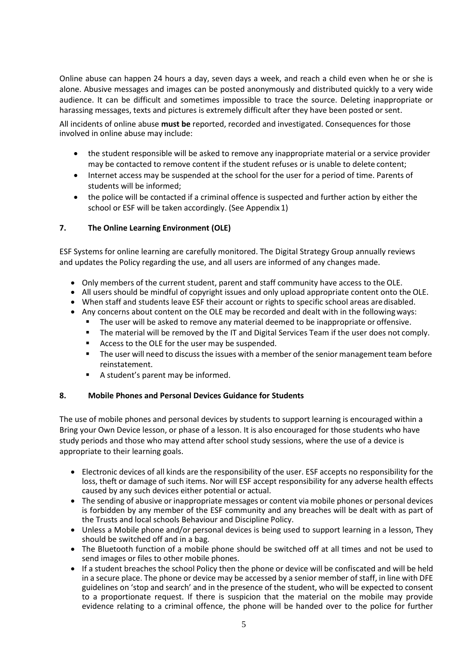Online abuse can happen 24 hours a day, seven days a week, and reach a child even when he or she is alone. Abusive messages and images can be posted anonymously and distributed quickly to a very wide audience. It can be difficult and sometimes impossible to trace the source. Deleting inappropriate or harassing messages, texts and pictures is extremely difficult after they have been posted or sent.

All incidents of online abuse **must be** reported, recorded and investigated. Consequences for those involved in online abuse may include:

- the student responsible will be asked to remove any inappropriate material or a service provider may be contacted to remove content if the student refuses or is unable to delete content;
- Internet access may be suspended at the school for the user for a period of time. Parents of students will be informed;
- the police will be contacted if a criminal offence is suspected and further action by either the school or ESF will be taken accordingly. (See Appendix 1)

## <span id="page-4-0"></span>**7. The Online Learning Environment (OLE)**

ESF Systems for online learning are carefully monitored. The Digital Strategy Group annually reviews and updates the Policy regarding the use, and all users are informed of any changes made.

- Only members of the current student, parent and staff community have access to the OLE.
- All users should be mindful of copyright issues and only upload appropriate content onto the OLE.
- When staff and students leave ESF their account or rights to specific school areas aredisabled.
- Any concerns about content on the OLE may be recorded and dealt with in the followingways:
	- **■** The user will be asked to remove any material deemed to be inappropriate or offensive.
	- **The material will be removed by the IT and Digital Services Team if the user does not comply.**
	- Access to the OLE for the user may be suspended.
	- **•** The user will need to discuss the issues with a member of the senior management team before reinstatement.
	- A student's parent may be informed.

#### <span id="page-4-1"></span>**8. Mobile Phones and Personal Devices Guidance for Students**

The use of mobile phones and personal devices by students to support learning is encouraged within a Bring your Own Device lesson, or phase of a lesson. It is also encouraged for those students who have study periods and those who may attend after school study sessions, where the use of a device is appropriate to their learning goals.

- Electronic devices of all kinds are the responsibility of the user. ESF accepts no responsibility for the loss, theft or damage of such items. Nor will ESF accept responsibility for any adverse health effects caused by any such devices either potential or actual.
- The sending of abusive or inappropriate messages or content via mobile phones or personal devices is forbidden by any member of the ESF community and any breaches will be dealt with as part of the Trusts and local schools Behaviour and Discipline Policy.
- Unless a Mobile phone and/or personal devices is being used to support learning in a lesson, They should be switched off and in a bag.
- The Bluetooth function of a mobile phone should be switched off at all times and not be used to send images or files to other mobile phones.
- If a student breaches the school Policy then the phone or device will be confiscated and will be held in a secure place. The phone or device may be accessed by a senior member of staff, in line with DFE guidelines on 'stop and search' and in the presence of the student, who will be expected to consent to a proportionate request. If there is suspicion that the material on the mobile may provide evidence relating to a criminal offence, the phone will be handed over to the police for further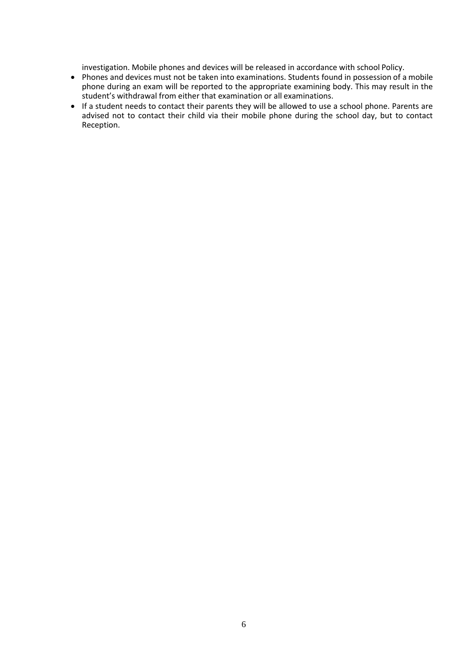investigation. Mobile phones and devices will be released in accordance with school Policy.

- Phones and devices must not be taken into examinations. Students found in possession of a mobile phone during an exam will be reported to the appropriate examining body. This may result in the student's withdrawal from either that examination or all examinations.
- If a student needs to contact their parents they will be allowed to use a school phone. Parents are advised not to contact their child via their mobile phone during the school day, but to contact Reception.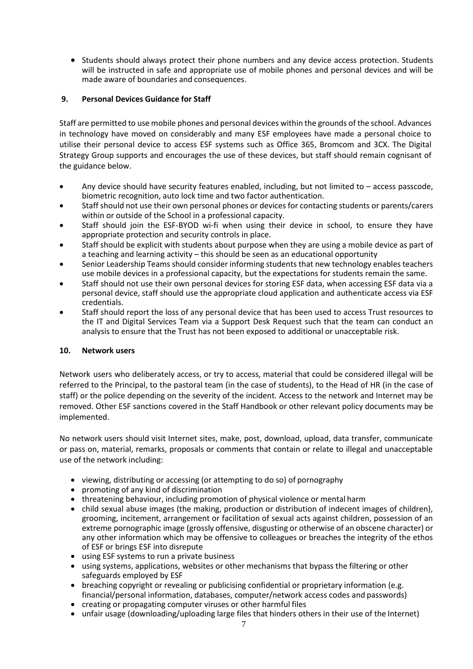<span id="page-6-0"></span>• Students should always protect their phone numbers and any device access protection. Students will be instructed in safe and appropriate use of mobile phones and personal devices and will be made aware of boundaries and consequences.

## **9. Personal Devices Guidance for Staff**

Staff are permitted to use mobile phones and personal devices within the grounds of the school. Advances in technology have moved on considerably and many ESF employees have made a personal choice to utilise their personal device to access ESF systems such as Office 365, Bromcom and 3CX. The Digital Strategy Group supports and encourages the use of these devices, but staff should remain cognisant of the guidance below.

- Any device should have security features enabled, including, but not limited to access passcode, biometric recognition, auto lock time and two factor authentication.
- Staff should not use their own personal phones or devices for contacting students or parents/carers within or outside of the School in a professional capacity.
- Staff should join the ESF-BYOD wi-fi when using their device in school, to ensure they have appropriate protection and security controls in place.
- Staff should be explicit with students about purpose when they are using a mobile device as part of a teaching and learning activity – this should be seen as an educational opportunity
- Senior Leadership Teams should consider informing students that new technology enables teachers use mobile devices in a professional capacity, but the expectations for students remain the same.
- Staff should not use their own personal devices for storing ESF data, when accessing ESF data via a personal device, staff should use the appropriate cloud application and authenticate access via ESF credentials.
- Staff should report the loss of any personal device that has been used to access Trust resources to the IT and Digital Services Team via a Support Desk Request such that the team can conduct an analysis to ensure that the Trust has not been exposed to additional or unacceptable risk.

#### <span id="page-6-1"></span>**10. Network users**

Network users who deliberately access, or try to access, material that could be considered illegal will be referred to the Principal, to the pastoral team (in the case of students), to the Head of HR (in the case of staff) or the police depending on the severity of the incident. Access to the network and Internet may be removed. Other ESF sanctions covered in the Staff Handbook or other relevant policy documents may be implemented.

No network users should visit Internet sites, make, post, download, upload, data transfer, communicate or pass on, material, remarks, proposals or comments that contain or relate to illegal and unacceptable use of the network including:

- viewing, distributing or accessing (or attempting to do so) of pornography
- promoting of any kind of discrimination
- threatening behaviour, including promotion of physical violence or mental harm
- child sexual abuse images (the making, production or distribution of indecent images of children), grooming, incitement, arrangement or facilitation of sexual acts against children, possession of an extreme pornographic image (grossly offensive, disgusting or otherwise of an obscene character) or any other information which may be offensive to colleagues or breaches the integrity of the ethos of ESF or brings ESF into disrepute
- using ESF systems to run a private business
- using systems, applications, websites or other mechanisms that bypass the filtering or other safeguards employed by ESF
- breaching copyright or revealing or publicising confidential or proprietary information (e.g. financial/personal information, databases, computer/network access codes and passwords)
- creating or propagating computer viruses or other harmful files
- unfair usage (downloading/uploading large files that hinders others in their use of the Internet)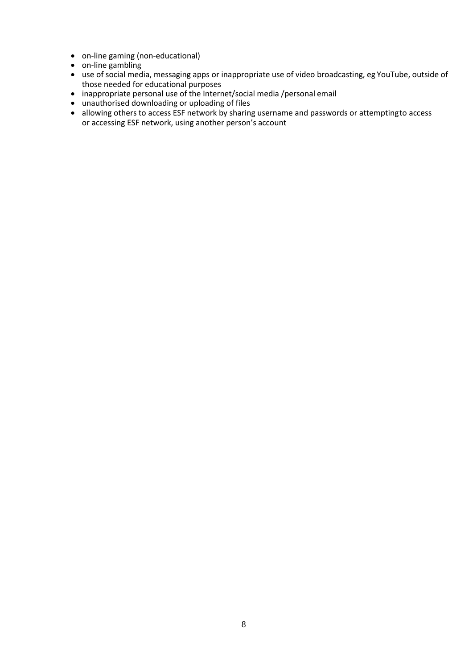- on-line gaming (non-educational)
- on-line gambling
- use of social media, messaging apps or inappropriate use of video broadcasting, eg YouTube, outside of those needed for educational purposes
- inappropriate personal use of the Internet/social media /personal email
- unauthorised downloading or uploading of files
- allowing others to access ESF network by sharing username and passwords or attempting to access or accessing ESF network, using another person's account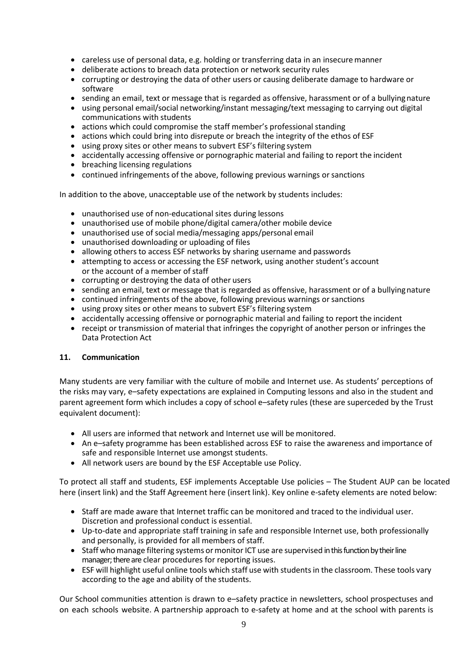- careless use of personal data, e.g. holding or transferring data in an insecure manner
- deliberate actions to breach data protection or network security rules
- corrupting or destroying the data of other users or causing deliberate damage to hardware or software
- sending an email, text or message that is regarded as offensive, harassment or of a bullying nature
- using personal email/social networking/instant messaging/text messaging to carrying out digital communications with students
- actions which could compromise the staff member's professional standing
- actions which could bring into disrepute or breach the integrity of the ethos of ESF
- using proxy sites or other means to subvert ESF's filtering system
- accidentally accessing offensive or pornographic material and failing to report the incident
- breaching licensing regulations
- continued infringements of the above, following previous warnings or sanctions

In addition to the above, unacceptable use of the network by students includes:

- unauthorised use of non-educational sites during lessons
- unauthorised use of mobile phone/digital camera/other mobile device
- unauthorised use of social media/messaging apps/personal email
- unauthorised downloading or uploading of files
- allowing others to access ESF networks by sharing username and passwords
- attempting to access or accessing the ESF network, using another student's account or the account of a member of staff
- corrupting or destroying the data of other users
- sending an email, text or message that is regarded as offensive, harassment or of a bullying nature
- continued infringements of the above, following previous warnings or sanctions
- using proxy sites or other means to subvert ESF's filtering system
- accidentally accessing offensive or pornographic material and failing to report the incident
- receipt or transmission of material that infringes the copyright of another person or infringes the Data Protection Act

#### <span id="page-8-0"></span>**11. Communication**

Many students are very familiar with the culture of mobile and Internet use. As students' perceptions of the risks may vary, e–safety expectations are explained in Computing lessons and also in the student and parent agreement form which includes a copy of school e–safety rules (these are superceded by the Trust equivalent document):

- All users are informed that network and Internet use will be monitored.
- An e–safety programme has been established across ESF to raise the awareness and importance of safe and responsible Internet use amongst students.
- All network users are bound by the ESF Acceptable use Policy.

To protect all staff and students, ESF implements Acceptable Use policies – The Student AUP can be located here (insert link) and the Staff Agreement here (insert link). Key online e-safety elements are noted below:

- Staff are made aware that Internet traffic can be monitored and traced to the individual user. Discretion and professional conduct is essential.
- Up-to-date and appropriate staff training in safe and responsible Internet use, both professionally and personally, is provided for all members of staff.
- Staff who manage filtering systems or monitor ICT use are supervised in this function by their line manager; there are clear procedures for reporting issues.
- ESF will highlight useful online tools which staff use with students in the classroom. These tools vary according to the age and ability of the students.

Our School communities attention is drawn to e–safety practice in newsletters, school prospectuses and on each schools website. A partnership approach to e-safety at home and at the school with parents is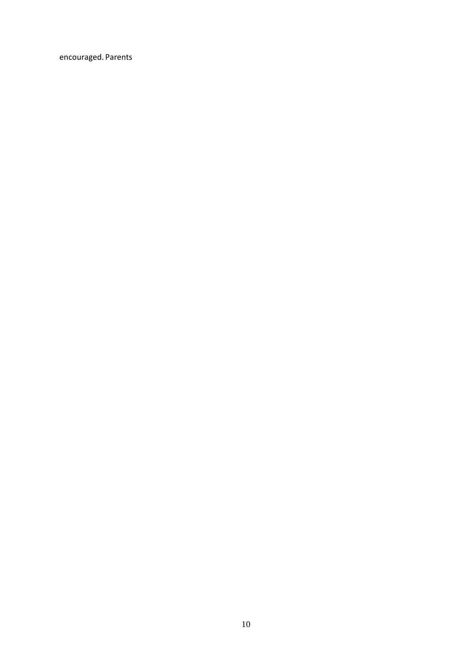encouraged. Parents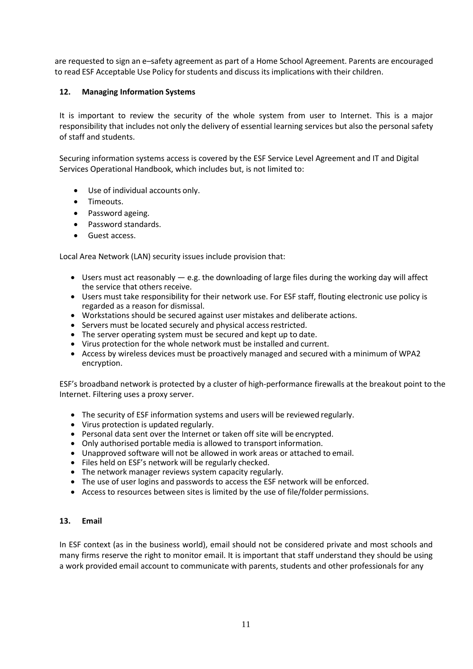are requested to sign an e–safety agreement as part of a Home School Agreement. Parents are encouraged to read ESF Acceptable Use Policy for students and discuss its implications with their children.

## <span id="page-10-0"></span>**12. Managing Information Systems**

It is important to review the security of the whole system from user to Internet. This is a major responsibility that includes not only the delivery of essential learning services but also the personal safety of staff and students.

Securing information systems access is covered by the ESF Service Level Agreement and IT and Digital Services Operational Handbook, which includes but, is not limited to:

- Use of individual accounts only.
- Timeouts.
- Password ageing.
- Password standards.
- Guest access.

Local Area Network (LAN) security issues include provision that:

- Users must act reasonably  $-$  e.g. the downloading of large files during the working day will affect the service that others receive.
- Users must take responsibility for their network use. For ESF staff, flouting electronic use policy is regarded as a reason for dismissal.
- Workstations should be secured against user mistakes and deliberate actions.
- Servers must be located securely and physical access restricted.
- The server operating system must be secured and kept up to date.
- Virus protection for the whole network must be installed and current.
- Access by wireless devices must be proactively managed and secured with a minimum of WPA2 encryption.

ESF's broadband network is protected by a cluster of high-performance firewalls at the breakout point to the Internet. Filtering uses a proxy server.

- The security of ESF information systems and users will be reviewed regularly.
- Virus protection is updated regularly.
- Personal data sent over the Internet or taken off site will be encrypted.
- Only authorised portable media is allowed to transport information.
- Unapproved software will not be allowed in work areas or attached to email.
- Files held on ESF's network will be regularly checked.
- The network manager reviews system capacity regularly.
- The use of user logins and passwords to access the ESF network will be enforced.
- Access to resources between sites is limited by the use of file/folder permissions.

#### <span id="page-10-1"></span>**13. Email**

In ESF context (as in the business world), email should not be considered private and most schools and many firms reserve the right to monitor email. It is important that staff understand they should be using a work provided email account to communicate with parents, students and other professionals for any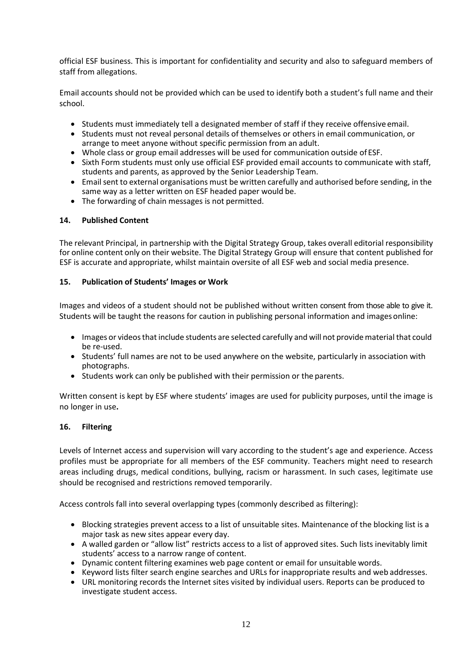official ESF business. This is important for confidentiality and security and also to safeguard members of staff from allegations.

Email accounts should not be provided which can be used to identify both a student's full name and their school.

- Students must immediately tell a designated member of staff if they receive offensive email.
- Students must not reveal personal details of themselves or others in email communication, or arrange to meet anyone without specific permission from an adult.
- Whole class or group email addresses will be used for communication outside of ESF.
- Sixth Form students must only use official ESF provided email accounts to communicate with staff, students and parents, as approved by the Senior Leadership Team.
- Emailsent to external organisations must be written carefully and authorised before sending, in the same way as a letter written on ESF headed paper would be.
- The forwarding of chain messages is not permitted.

#### <span id="page-11-0"></span>**14. Published Content**

The relevant Principal, in partnership with the Digital Strategy Group, takes overall editorial responsibility for online content only on their website. The Digital Strategy Group will ensure that content published for ESF is accurate and appropriate, whilst maintain oversite of all ESF web and social media presence.

#### <span id="page-11-1"></span>**15. Publication of Students' Images or Work**

Images and videos of a student should not be published without written consent from those able to give it. Students will be taught the reasons for caution in publishing personal information and images online:

- Images or videos that include students are selected carefully and will not provide material that could be re-used.
- Students' full names are not to be used anywhere on the website, particularly in association with photographs.
- Students work can only be published with their permission or the parents.

Written consent is kept by ESF where students' images are used for publicity purposes, until the image is no longer in use**.**

#### <span id="page-11-2"></span>**16. Filtering**

Levels of Internet access and supervision will vary according to the student's age and experience. Access profiles must be appropriate for all members of the ESF community. Teachers might need to research areas including drugs, medical conditions, bullying, racism or harassment. In such cases, legitimate use should be recognised and restrictions removed temporarily.

Access controls fall into several overlapping types (commonly described as filtering):

- Blocking strategies prevent access to a list of unsuitable sites. Maintenance of the blocking list is a major task as new sites appear every day.
- A walled garden or "allow list" restricts access to a list of approved sites. Such lists inevitably limit students' access to a narrow range of content.
- Dynamic content filtering examines web page content or email for unsuitable words.
- Keyword lists filter search engine searches and URLs for inappropriate results and web addresses.
- URL monitoring records the Internet sites visited by individual users. Reports can be produced to investigate student access.